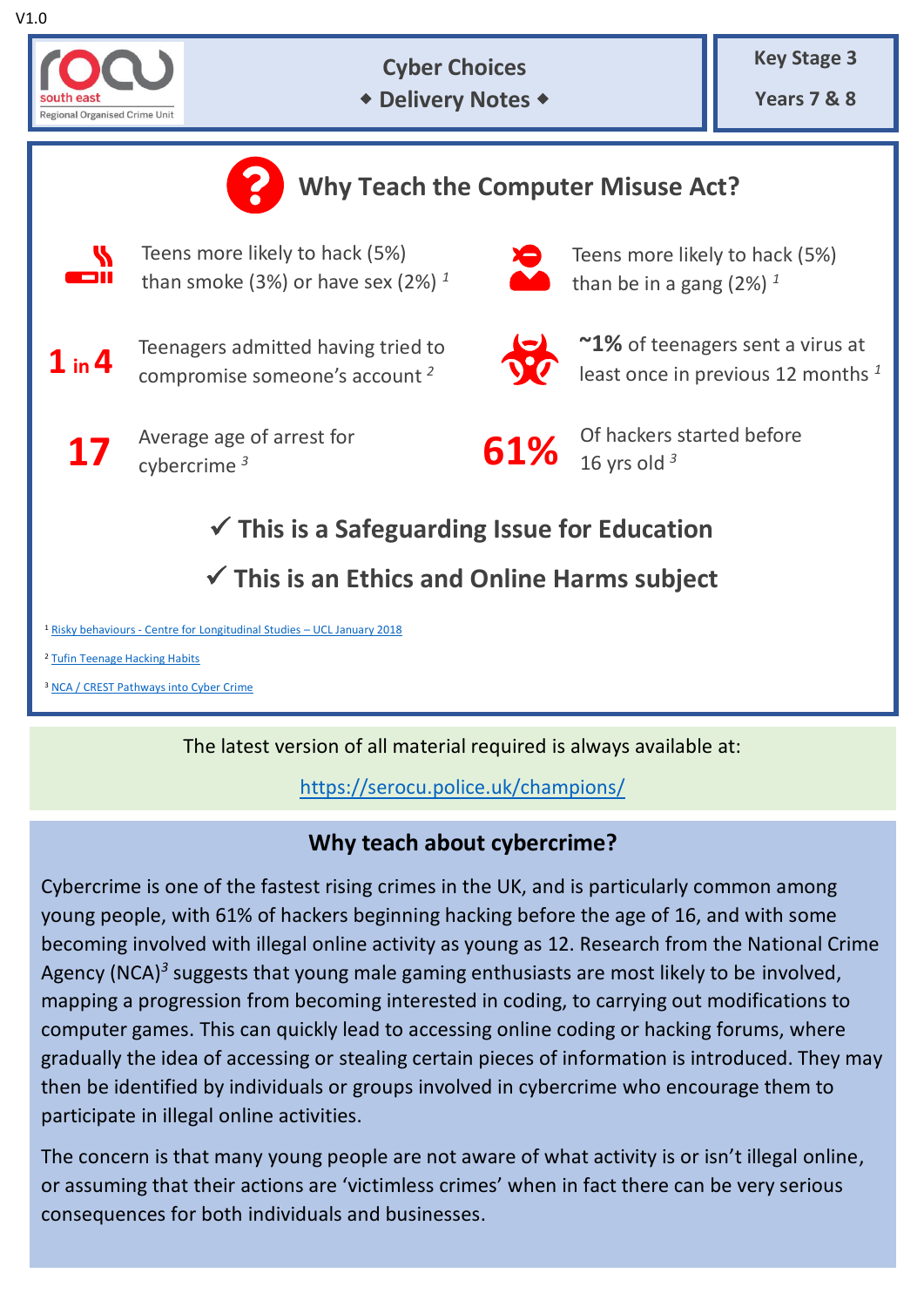

**Cyber Choices**

**\* Delivery Notes \*** 

**Key Stage 3**

**Years 7 & 8**



The latest version of all material required is always available at:

<https://serocu.police.uk/champions/>

# **Why teach about cybercrime?**

Cybercrime is one of the fastest rising crimes in the UK, and is particularly common among young people, with 61% of hackers beginning hacking before the age of 16, and with some becoming involved with illegal online activity as young as 12. Research from the National Crime Agency (NCA)*<sup>3</sup>* suggests that young male gaming enthusiasts are most likely to be involved, mapping a progression from becoming interested in coding, to carrying out modifications to computer games. This can quickly lead to accessing online coding or hacking forums, where gradually the idea of accessing or stealing certain pieces of information is introduced. They may then be identified by individuals or groups involved in cybercrime who encourage them to participate in illegal online activities.

The concern is that many young people are not aware of what activity is or isn't illegal online, or assuming that their actions are 'victimless crimes' when in fact there can be very serious consequences for both individuals and businesses.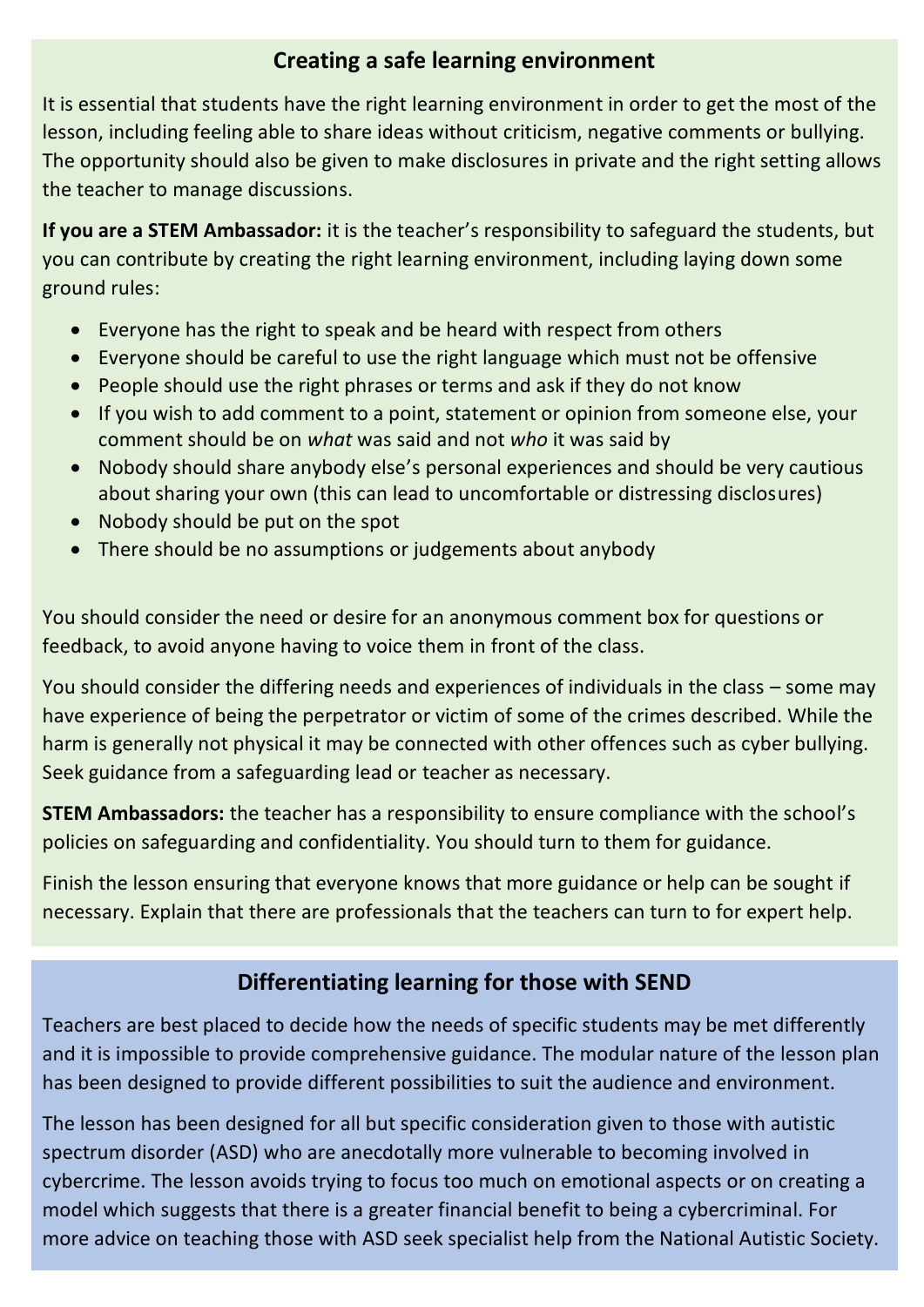## **Creating a safe learning environment**

It is essential that students have the right learning environment in order to get the most of the lesson, including feeling able to share ideas without criticism, negative comments or bullying. The opportunity should also be given to make disclosures in private and the right setting allows the teacher to manage discussions.

**If you are a STEM Ambassador:** it is the teacher's responsibility to safeguard the students, but you can contribute by creating the right learning environment, including laying down some ground rules:

- Everyone has the right to speak and be heard with respect from others
- Everyone should be careful to use the right language which must not be offensive
- People should use the right phrases or terms and ask if they do not know
- If you wish to add comment to a point, statement or opinion from someone else, your comment should be on *what* was said and not *who* it was said by
- Nobody should share anybody else's personal experiences and should be very cautious about sharing your own (this can lead to uncomfortable or distressing disclosures)
- Nobody should be put on the spot
- There should be no assumptions or judgements about anybody

You should consider the need or desire for an anonymous comment box for questions or feedback, to avoid anyone having to voice them in front of the class.

You should consider the differing needs and experiences of individuals in the class – some may have experience of being the perpetrator or victim of some of the crimes described. While the harm is generally not physical it may be connected with other offences such as cyber bullying. Seek guidance from a safeguarding lead or teacher as necessary.

**STEM Ambassadors:** the teacher has a responsibility to ensure compliance with the school's policies on safeguarding and confidentiality. You should turn to them for guidance.

Finish the lesson ensuring that everyone knows that more guidance or help can be sought if necessary. Explain that there are professionals that the teachers can turn to for expert help.

## **Differentiating learning for those with SEND**

Teachers are best placed to decide how the needs of specific students may be met differently and it is impossible to provide comprehensive guidance. The modular nature of the lesson plan has been designed to provide different possibilities to suit the audience and environment.

The lesson has been designed for all but specific consideration given to those with autistic spectrum disorder (ASD) who are anecdotally more vulnerable to becoming involved in cybercrime. The lesson avoids trying to focus too much on emotional aspects or on creating a model which suggests that there is a greater financial benefit to being a cybercriminal. For more advice on teaching those with ASD seek specialist help from the National Autistic Society.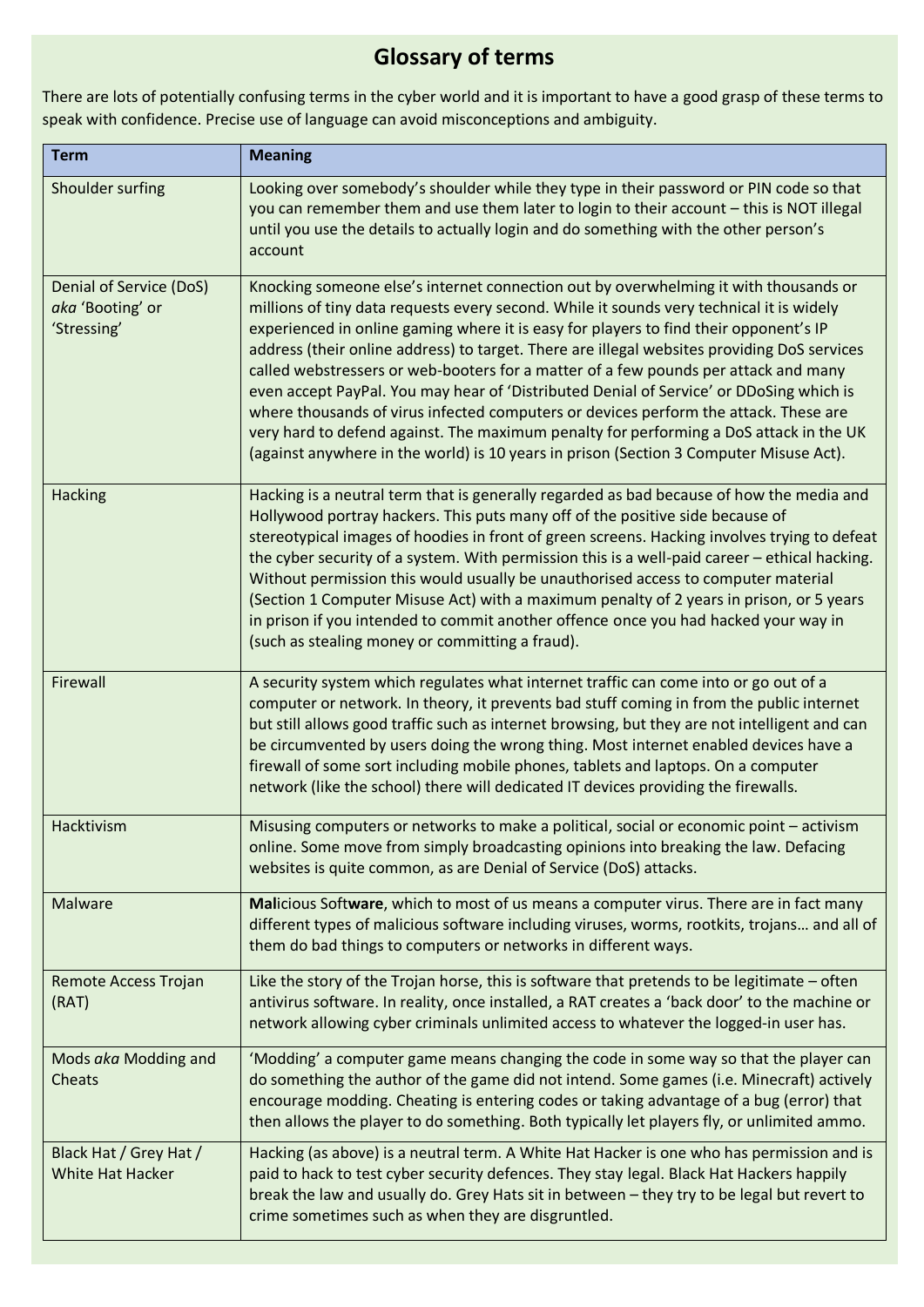# **Glossary of terms**

There are lots of potentially confusing terms in the cyber world and it is important to have a good grasp of these terms to speak with confidence. Precise use of language can avoid misconceptions and ambiguity.

| <b>Term</b>                                                | <b>Meaning</b>                                                                                                                                                                                                                                                                                                                                                                                                                                                                                                                                                                                                                                                                                                                                                                                                                         |
|------------------------------------------------------------|----------------------------------------------------------------------------------------------------------------------------------------------------------------------------------------------------------------------------------------------------------------------------------------------------------------------------------------------------------------------------------------------------------------------------------------------------------------------------------------------------------------------------------------------------------------------------------------------------------------------------------------------------------------------------------------------------------------------------------------------------------------------------------------------------------------------------------------|
| Shoulder surfing                                           | Looking over somebody's shoulder while they type in their password or PIN code so that<br>you can remember them and use them later to login to their account - this is NOT illegal<br>until you use the details to actually login and do something with the other person's<br>account                                                                                                                                                                                                                                                                                                                                                                                                                                                                                                                                                  |
| Denial of Service (DoS)<br>aka 'Booting' or<br>'Stressing' | Knocking someone else's internet connection out by overwhelming it with thousands or<br>millions of tiny data requests every second. While it sounds very technical it is widely<br>experienced in online gaming where it is easy for players to find their opponent's IP<br>address (their online address) to target. There are illegal websites providing DoS services<br>called webstressers or web-booters for a matter of a few pounds per attack and many<br>even accept PayPal. You may hear of 'Distributed Denial of Service' or DDoSing which is<br>where thousands of virus infected computers or devices perform the attack. These are<br>very hard to defend against. The maximum penalty for performing a DoS attack in the UK<br>(against anywhere in the world) is 10 years in prison (Section 3 Computer Misuse Act). |
| Hacking                                                    | Hacking is a neutral term that is generally regarded as bad because of how the media and<br>Hollywood portray hackers. This puts many off of the positive side because of<br>stereotypical images of hoodies in front of green screens. Hacking involves trying to defeat<br>the cyber security of a system. With permission this is a well-paid career - ethical hacking.<br>Without permission this would usually be unauthorised access to computer material<br>(Section 1 Computer Misuse Act) with a maximum penalty of 2 years in prison, or 5 years<br>in prison if you intended to commit another offence once you had hacked your way in<br>(such as stealing money or committing a fraud).                                                                                                                                   |
| Firewall                                                   | A security system which regulates what internet traffic can come into or go out of a<br>computer or network. In theory, it prevents bad stuff coming in from the public internet<br>but still allows good traffic such as internet browsing, but they are not intelligent and can<br>be circumvented by users doing the wrong thing. Most internet enabled devices have a<br>firewall of some sort including mobile phones, tablets and laptops. On a computer<br>network (like the school) there will dedicated IT devices providing the firewalls.                                                                                                                                                                                                                                                                                   |
| Hacktivism                                                 | Misusing computers or networks to make a political, social or economic point - activism<br>online. Some move from simply broadcasting opinions into breaking the law. Defacing<br>websites is quite common, as are Denial of Service (DoS) attacks.                                                                                                                                                                                                                                                                                                                                                                                                                                                                                                                                                                                    |
| Malware                                                    | Malicious Software, which to most of us means a computer virus. There are in fact many<br>different types of malicious software including viruses, worms, rootkits, trojans and all of<br>them do bad things to computers or networks in different ways.                                                                                                                                                                                                                                                                                                                                                                                                                                                                                                                                                                               |
| <b>Remote Access Trojan</b><br>(RAT)                       | Like the story of the Trojan horse, this is software that pretends to be legitimate - often<br>antivirus software. In reality, once installed, a RAT creates a 'back door' to the machine or<br>network allowing cyber criminals unlimited access to whatever the logged-in user has.                                                                                                                                                                                                                                                                                                                                                                                                                                                                                                                                                  |
| Mods aka Modding and<br>Cheats                             | 'Modding' a computer game means changing the code in some way so that the player can<br>do something the author of the game did not intend. Some games (i.e. Minecraft) actively<br>encourage modding. Cheating is entering codes or taking advantage of a bug (error) that<br>then allows the player to do something. Both typically let players fly, or unlimited ammo.                                                                                                                                                                                                                                                                                                                                                                                                                                                              |
| Black Hat / Grey Hat /<br>White Hat Hacker                 | Hacking (as above) is a neutral term. A White Hat Hacker is one who has permission and is<br>paid to hack to test cyber security defences. They stay legal. Black Hat Hackers happily<br>break the law and usually do. Grey Hats sit in between - they try to be legal but revert to<br>crime sometimes such as when they are disgruntled.                                                                                                                                                                                                                                                                                                                                                                                                                                                                                             |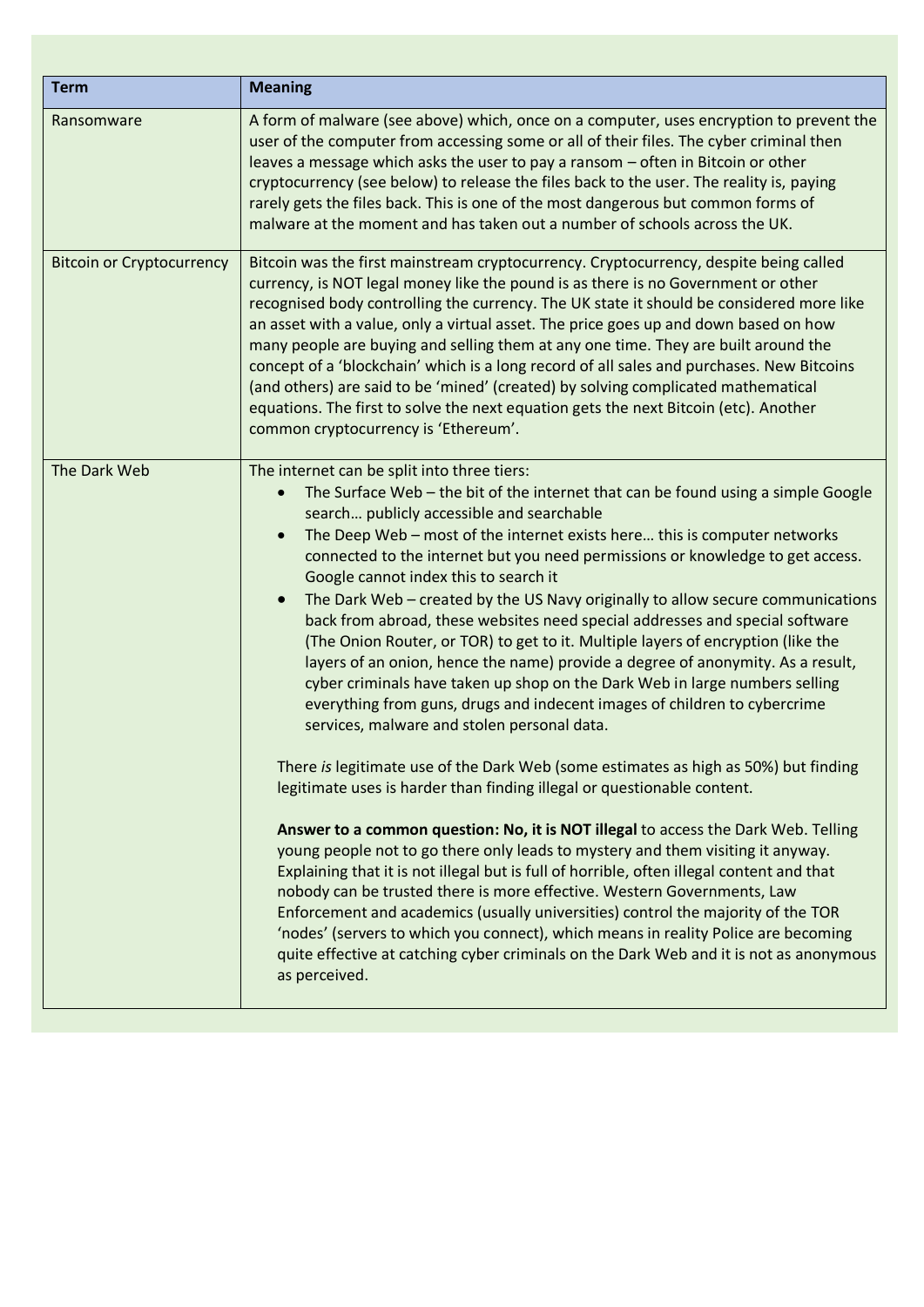| <b>Term</b>                      | <b>Meaning</b>                                                                                                                                                                                                                                                                                                                                                                                                                                                                                                                                                                                                                                                                                                                                                                                                                                                                                                                                                                                                                                                                                                                                                                                                                                                                                                                                                                                                                                                                                                                                                                                                                                                                                                                                       |
|----------------------------------|------------------------------------------------------------------------------------------------------------------------------------------------------------------------------------------------------------------------------------------------------------------------------------------------------------------------------------------------------------------------------------------------------------------------------------------------------------------------------------------------------------------------------------------------------------------------------------------------------------------------------------------------------------------------------------------------------------------------------------------------------------------------------------------------------------------------------------------------------------------------------------------------------------------------------------------------------------------------------------------------------------------------------------------------------------------------------------------------------------------------------------------------------------------------------------------------------------------------------------------------------------------------------------------------------------------------------------------------------------------------------------------------------------------------------------------------------------------------------------------------------------------------------------------------------------------------------------------------------------------------------------------------------------------------------------------------------------------------------------------------------|
| Ransomware                       | A form of malware (see above) which, once on a computer, uses encryption to prevent the<br>user of the computer from accessing some or all of their files. The cyber criminal then<br>leaves a message which asks the user to pay a ransom - often in Bitcoin or other<br>cryptocurrency (see below) to release the files back to the user. The reality is, paying<br>rarely gets the files back. This is one of the most dangerous but common forms of<br>malware at the moment and has taken out a number of schools across the UK.                                                                                                                                                                                                                                                                                                                                                                                                                                                                                                                                                                                                                                                                                                                                                                                                                                                                                                                                                                                                                                                                                                                                                                                                                |
| <b>Bitcoin or Cryptocurrency</b> | Bitcoin was the first mainstream cryptocurrency. Cryptocurrency, despite being called<br>currency, is NOT legal money like the pound is as there is no Government or other<br>recognised body controlling the currency. The UK state it should be considered more like<br>an asset with a value, only a virtual asset. The price goes up and down based on how<br>many people are buying and selling them at any one time. They are built around the<br>concept of a 'blockchain' which is a long record of all sales and purchases. New Bitcoins<br>(and others) are said to be 'mined' (created) by solving complicated mathematical<br>equations. The first to solve the next equation gets the next Bitcoin (etc). Another<br>common cryptocurrency is 'Ethereum'.                                                                                                                                                                                                                                                                                                                                                                                                                                                                                                                                                                                                                                                                                                                                                                                                                                                                                                                                                                               |
| The Dark Web                     | The internet can be split into three tiers:<br>The Surface Web $-$ the bit of the internet that can be found using a simple Google<br>search publicly accessible and searchable<br>The Deep Web - most of the internet exists here this is computer networks<br>connected to the internet but you need permissions or knowledge to get access.<br>Google cannot index this to search it<br>The Dark Web - created by the US Navy originally to allow secure communications<br>back from abroad, these websites need special addresses and special software<br>(The Onion Router, or TOR) to get to it. Multiple layers of encryption (like the<br>layers of an onion, hence the name) provide a degree of anonymity. As a result,<br>cyber criminals have taken up shop on the Dark Web in large numbers selling<br>everything from guns, drugs and indecent images of children to cybercrime<br>services, malware and stolen personal data.<br>There is legitimate use of the Dark Web (some estimates as high as 50%) but finding<br>legitimate uses is harder than finding illegal or questionable content.<br>Answer to a common question: No, it is NOT illegal to access the Dark Web. Telling<br>young people not to go there only leads to mystery and them visiting it anyway.<br>Explaining that it is not illegal but is full of horrible, often illegal content and that<br>nobody can be trusted there is more effective. Western Governments, Law<br>Enforcement and academics (usually universities) control the majority of the TOR<br>'nodes' (servers to which you connect), which means in reality Police are becoming<br>quite effective at catching cyber criminals on the Dark Web and it is not as anonymous<br>as perceived. |